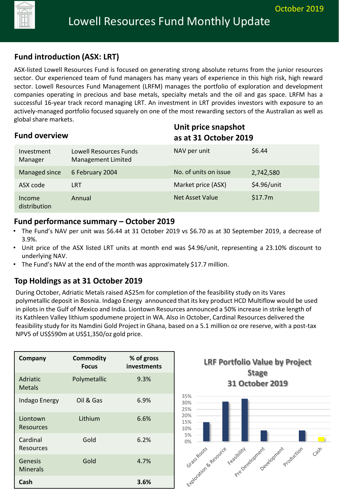# **Fund introduction (ASX: LRT)**

ASX-listed Lowell Resources Fund is focused on generating strong absolute returns from the junior resources sector. Our experienced team of fund managers has many years of experience in this high risk, high reward sector. Lowell Resources Fund Management (LRFM) manages the portfolio of exploration and development companies operating in precious and base metals, specialty metals and the oil and gas space. LRFM has a successful 16-year track record managing LRT. An investment in LRT provides investors with exposure to an actively-managed portfolio focused squarely on one of the most rewarding sectors of the Australian as well as global share markets.

| <b>Fund overview</b>   |                                              |                       | Unit price snapshot<br>as at 31 October 2019 |  |
|------------------------|----------------------------------------------|-----------------------|----------------------------------------------|--|
| Investment<br>Manager  | Lowell Resources Funds<br>Management Limited | NAV per unit          | \$6.44                                       |  |
| Managed since          | 6 February 2004                              | No. of units on issue | 2,742,580                                    |  |
| ASX code               | <b>LRT</b>                                   | Market price (ASX)    | \$4.96/unit                                  |  |
| Income<br>distribution | Annual                                       | Net Asset Value       | \$17.7m                                      |  |

### **Fund performance summary – October 2019**

- The Fund's NAV per unit was \$6.44 at 31 October 2019 vs \$6.70 as at 30 September 2019, a decrease of 3.9%.
- Unit price of the ASX listed LRT units at month end was \$4.96/unit, representing a 23.10% discount to underlying NAV.
- The Fund's NAV at the end of the month was approximately \$17.7 million.

## **Top Holdings as at 31 October 2019**

During October, Adriatic Metals raised A\$25m for completion of the feasibility study on its Vares polymetallic deposit in Bosnia. Indago Energy announced that its key product HCD Multiflow would be used in pilots in the Gulf of Mexico and India. Liontown Resources announced a 50% increase in strike length of its Kathleen Valley lithium spodumene project in WA. Also in October, Cardinal Resources delivered the feasibility study for its Namdini Gold Project in Ghana, based on a 5.1 million oz ore reserve, with a post-tax NPV5 of US\$590m at US\$1,350/oz gold price.

| Company                      | <b>Commodity</b><br><b>Focus</b> | % of gross<br>investments |
|------------------------------|----------------------------------|---------------------------|
| Adriatic<br><b>Metals</b>    | Polymetallic                     | 9.3%                      |
| Indago Energy                | Oil & Gas                        | 6.9%                      |
| Liontown<br>Resources        | Lithium                          | 6.6%                      |
| Cardinal<br><b>Resources</b> | Gold                             | 6.2%                      |
| Genesis<br>Minerals          | Gold                             | 4.7%                      |
| Cash                         |                                  | 3.6%                      |



**31 October 2019**